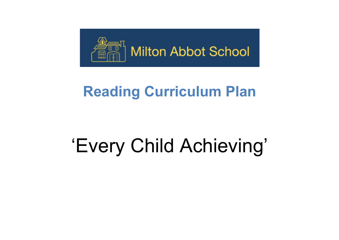

## **Reading Curriculum Plan**

## 'Every Child Achieving'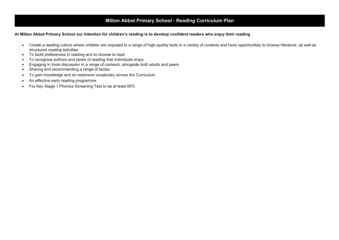## **Milton Abbot Primary School - Reading Curriculum Plan**

## **At Milton Abbot Primary School our intention for children's reading is to develop confident readers who enjoy their reading**

- Create a reading culture where children are exposed to a range of high-quality texts in a variety of contexts and have opportunities to browse literature, as well as structured reading activities
- To build preferences in reading and to choose to read
- To recognise authors and styles of reading that individuals enjoy
- Engaging in book discussion in a range of contexts, alongside both adults and peers
- Sharing and recommending a range of books
- To gain knowledge and an extensive vocabulary across the Curriculum
- An effective early reading programme
- For Key Stage 1 Phonics Screening Test to be at least 95%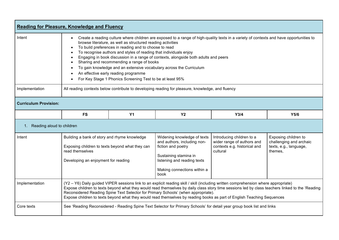| <b>Reading for Pleasure, Knowledge and Fluency</b> |                                                                                                                                                                                                                                                                                                                                                                                                                                                                                                                                                                                                                                                      |           |                                                                                                                                                                                 |                                                                                                     |                                                                                      |  |
|----------------------------------------------------|------------------------------------------------------------------------------------------------------------------------------------------------------------------------------------------------------------------------------------------------------------------------------------------------------------------------------------------------------------------------------------------------------------------------------------------------------------------------------------------------------------------------------------------------------------------------------------------------------------------------------------------------------|-----------|---------------------------------------------------------------------------------------------------------------------------------------------------------------------------------|-----------------------------------------------------------------------------------------------------|--------------------------------------------------------------------------------------|--|
| Intent                                             | Create a reading culture where children are exposed to a range of high-quality texts in a variety of contexts and have opportunities to<br>browse literature, as well as structured reading activities<br>To build preferences in reading and to choose to read<br>To recognise authors and styles of reading that individuals enjoy<br>Engaging in book discussion in a range of contexts, alongside both adults and peers<br>Sharing and recommending a range of books<br>To gain knowledge and an extensive vocabulary across the Curriculum<br>An effective early reading programme<br>For Key Stage 1 Phonics Screening Test to be at least 95% |           |                                                                                                                                                                                 |                                                                                                     |                                                                                      |  |
| Implementation                                     | All reading contexts below contribute to developing reading for pleasure, knowledge, and fluency                                                                                                                                                                                                                                                                                                                                                                                                                                                                                                                                                     |           |                                                                                                                                                                                 |                                                                                                     |                                                                                      |  |
| <b>Curriculum Provision:</b>                       |                                                                                                                                                                                                                                                                                                                                                                                                                                                                                                                                                                                                                                                      |           |                                                                                                                                                                                 |                                                                                                     |                                                                                      |  |
|                                                    | <b>FS</b>                                                                                                                                                                                                                                                                                                                                                                                                                                                                                                                                                                                                                                            | <b>Y1</b> | Y <sub>2</sub>                                                                                                                                                                  | Y3/4                                                                                                | Y5/6                                                                                 |  |
| 1. Reading aloud to children                       |                                                                                                                                                                                                                                                                                                                                                                                                                                                                                                                                                                                                                                                      |           |                                                                                                                                                                                 |                                                                                                     |                                                                                      |  |
| Intent                                             | Building a bank of story and rhyme knowledge<br>Exposing children to texts beyond what they can<br>read themselves<br>Developing an enjoyment for reading                                                                                                                                                                                                                                                                                                                                                                                                                                                                                            |           | Widening knowledge of texts<br>and authors, including non-<br>fiction and poetry<br>Sustaining stamina in<br>listening and reading texts<br>Making connections within a<br>book | Introducing children to a<br>wider range of authors and<br>contexts e.g. historical and<br>cultural | Exposing children to<br>challenging and archaic<br>texts, e.g., language,<br>themes, |  |
| Implementation                                     | (Y2 - Y6) Daily guided VIPER sessions link to an explicit reading skill / skill (including written comprehension where appropriate)<br>Expose children to texts beyond what they would read themselves by daily class story time sessions led by class teachers linked to the 'Reading<br>Reconsidered Reading Spine Text Selector for Primary Schools' (when appropriate).<br>Expose children to texts beyond what they would read themselves by reading books as part of English Teaching Sequences                                                                                                                                                |           |                                                                                                                                                                                 |                                                                                                     |                                                                                      |  |
| Core texts                                         | See 'Reading Reconsidered - Reading Spine Text Selector for Primary Schools' for detail year group book list and links                                                                                                                                                                                                                                                                                                                                                                                                                                                                                                                               |           |                                                                                                                                                                                 |                                                                                                     |                                                                                      |  |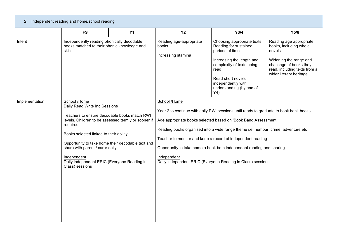| 2. Independent reading and home/school reading |                                                                                                                                                                                                                                                                                                                                                                                       |           |                                                                                                                                                                                                                                                                                                                                                                                                                                                                                    |                                                                                                                                                                                                                        |                                                                                                                                                                             |  |
|------------------------------------------------|---------------------------------------------------------------------------------------------------------------------------------------------------------------------------------------------------------------------------------------------------------------------------------------------------------------------------------------------------------------------------------------|-----------|------------------------------------------------------------------------------------------------------------------------------------------------------------------------------------------------------------------------------------------------------------------------------------------------------------------------------------------------------------------------------------------------------------------------------------------------------------------------------------|------------------------------------------------------------------------------------------------------------------------------------------------------------------------------------------------------------------------|-----------------------------------------------------------------------------------------------------------------------------------------------------------------------------|--|
|                                                | <b>FS</b>                                                                                                                                                                                                                                                                                                                                                                             | <b>Y1</b> | <b>Y2</b>                                                                                                                                                                                                                                                                                                                                                                                                                                                                          | Y3/4                                                                                                                                                                                                                   | Y5/6                                                                                                                                                                        |  |
| Intent                                         | Independently reading phonically decodable<br>books matched to their phonic knowledge and<br><b>skills</b>                                                                                                                                                                                                                                                                            |           | Reading age-appropriate<br><b>books</b><br>Increasing stamina                                                                                                                                                                                                                                                                                                                                                                                                                      | Choosing appropriate texts<br>Reading for sustained<br>periods of time<br>Increasing the length and<br>complexity of texts being<br>read<br>Read short novels<br>independently with<br>understanding (by end of<br>Y4) | Reading age appropriate<br>books, including whole<br>novels<br>Widening the range and<br>challenge of books they<br>read, including texts from a<br>wider literary heritage |  |
| Implementation                                 | School /Home<br>Daily Read Write Inc Sessions<br>Teachers to ensure decodable books match RWI<br>levels. Children to be assessed termly or sooner if<br>required.<br>Books selected linked to their ability<br>Opportunity to take home their decodable text and<br>share with parent / carer daily.<br>Independent<br>Daily independent ERIC (Everyone Reading in<br>Class) sessions |           | School /Home<br>Year 2 to continue with daily RWI sessions until ready to graduate to book bank books.<br>Age appropriate books selected based on 'Book Band Assessment'<br>Reading books organised into a wide range theme i.e. humour, crime, adventure etc<br>Teacher to monitor and keep a record of independent reading<br>Opportunity to take home a book both independent reading and sharing<br>Independent<br>Daily independent ERIC (Everyone Reading in Class) sessions |                                                                                                                                                                                                                        |                                                                                                                                                                             |  |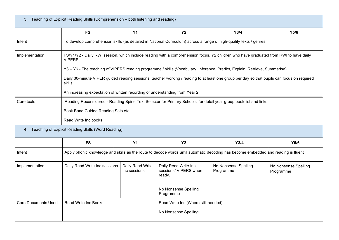| 3. Teaching of Explicit Reading Skills (Comprehension - both listening and reading) |                                                                                                                                                                                                                                        |                                  |                                                         |                                     |                                   |  |
|-------------------------------------------------------------------------------------|----------------------------------------------------------------------------------------------------------------------------------------------------------------------------------------------------------------------------------------|----------------------------------|---------------------------------------------------------|-------------------------------------|-----------------------------------|--|
|                                                                                     | <b>FS</b>                                                                                                                                                                                                                              | Y1                               | Y <sub>2</sub>                                          | Y3/4                                | Y5/6                              |  |
| Intent                                                                              | To develop comprehension skills (as detailed in National Curriculum) across a range of high-quality texts / genres                                                                                                                     |                                  |                                                         |                                     |                                   |  |
| Implementation                                                                      | FS/Y1/Y2 - Daily RWI session, which include reading with a comprehension focus. Y2 children who have graduated from RWI to have daily<br>VIPERS.                                                                                       |                                  |                                                         |                                     |                                   |  |
|                                                                                     | Y3 - Y6 - The teaching of VIPERS reading programme / skills (Vocabulary, Inference, Predict, Explain, Retrieve, Summarise)                                                                                                             |                                  |                                                         |                                     |                                   |  |
|                                                                                     | Daily 30-minute VIPER guided reading sessions: teacher working / reading to at least one group per day so that pupils can focus on required<br>skills.<br>An increasing expectation of written recording of understanding from Year 2. |                                  |                                                         |                                     |                                   |  |
|                                                                                     |                                                                                                                                                                                                                                        |                                  |                                                         |                                     |                                   |  |
| Core texts                                                                          | 'Reading Reconsidered - Reading Spine Text Selector for Primary Schools' for detail year group book list and links                                                                                                                     |                                  |                                                         |                                     |                                   |  |
|                                                                                     | Book Band Guided Reading Sets etc                                                                                                                                                                                                      |                                  |                                                         |                                     |                                   |  |
|                                                                                     | Read Write Inc books                                                                                                                                                                                                                   |                                  |                                                         |                                     |                                   |  |
| 4. Teaching of Explicit Reading Skills (Word Reading)                               |                                                                                                                                                                                                                                        |                                  |                                                         |                                     |                                   |  |
|                                                                                     | <b>FS</b>                                                                                                                                                                                                                              | <b>Y1</b>                        | <b>Y2</b>                                               | Y3/4                                | Y5/6                              |  |
| Intent                                                                              | Apply phonic knowledge and skills as the route to decode words until automatic decoding has become embedded and reading is fluent                                                                                                      |                                  |                                                         |                                     |                                   |  |
| Implementation                                                                      | Daily Read Write Inc sessions                                                                                                                                                                                                          | Daily Read Write<br>Inc sessions | Daily Read Write Inc<br>sessions/ VIPERS when<br>ready. | No Nonsense Spelling<br>Programme   | No Nonsense Spelling<br>Programme |  |
|                                                                                     |                                                                                                                                                                                                                                        |                                  | No Nonsense Spelling<br>Programme                       |                                     |                                   |  |
| <b>Core Documents Used</b>                                                          | <b>Read Write Inc Books</b>                                                                                                                                                                                                            |                                  |                                                         | Read Write Inc (Where still needed) |                                   |  |
|                                                                                     |                                                                                                                                                                                                                                        |                                  | No Nonsense Spelling                                    |                                     |                                   |  |